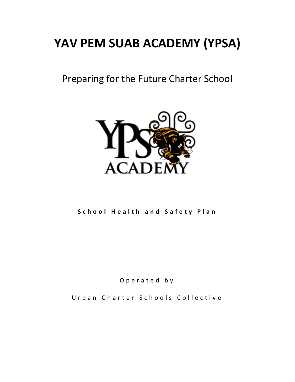# **YAV PEM SUAB ACADEMY (YPSA)**

Preparing for the Future Charter School



**School Health and Safety Plan** 

O p e r a t e d b y

Urban Charter Schools Collective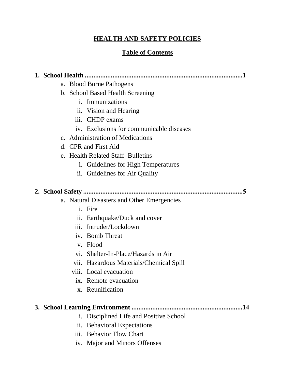## **HEALTH AND SAFETY POLICIES**

## **Table of Contents**

**1. School Health ...........................................................................................1**

- a. Blood Borne Pathogens
- b. School Based Health Screening
	- i. Immunizations
	- ii. Vision and Hearing
	- iii. CHDP exams
	- iv. Exclusions for communicable diseases
- c. Administration of Medications
- d. CPR and First Aid
- e. Health Related Staff Bulletins
	- i. Guidelines for High Temperatures
	- ii. Guidelines for Air Quality

## **2. School Safety ............................................................................................5**

- a. Natural Disasters and Other Emergencies
	- i. Fire
	- ii. Earthquake/Duck and cover
	- iii. Intruder/Lockdown
	- iv. Bomb Threat
	- v. Flood
	- vi. Shelter-In-Place/Hazards in Air
	- vii. Hazardous Materials/Chemical Spill
	- viii. Local evacuation
		- ix. Remote evacuation
		- x. Reunification

## **3. School Learning Environment ................................................................14**

- i. Disciplined Life and Positive School
- ii. Behavioral Expectations
- iii. Behavior Flow Chart
- iv. Major and Minors Offenses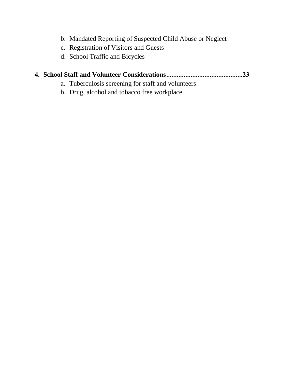- b. Mandated Reporting of Suspected Child Abuse or Neglect
- c. Registration of Visitors and Guests
- d. School Traffic and Bicycles

## **4. School Staff and Volunteer Considerations ............................................23**

- a. Tuberculosis screening for staff and volunteers
- b. Drug, alcohol and tobacco free workplace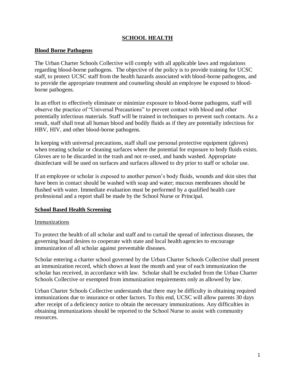#### **SCHOOL HEALTH**

#### **Blood Borne Pathogens**

The Urban Charter Schools Collective will comply with all applicable laws and regulations regarding blood-borne pathogens. The objective of the policy is to provide training for UCSC staff, to protect UCSC staff from the health hazards associated with blood-borne pathogens, and to provide the appropriate treatment and counseling should an employee be exposed to bloodborne pathogens.

In an effort to effectively eliminate or minimize exposure to blood-borne pathogens, staff will observe the practice of "Universal Precautions" to prevent contact with blood and other potentially infectious materials. Staff will be trained in techniques to prevent such contacts. As a result, staff shall treat all human blood and bodily fluids as if they are potentially infectious for HBV, HIV, and other blood-borne pathogens.

In keeping with universal precautions, staff shall use personal protective equipment (gloves) when treating scholar or cleaning surfaces where the potential for exposure to body fluids exists. Gloves are to be discarded in the trash and not re-used, and hands washed. Appropriate disinfectant will be used on surfaces and surfaces allowed to dry prior to staff or scholar use.

If an employee or scholar is exposed to another person's body fluids, wounds and skin sites that have been in contact should be washed with soap and water; mucous membranes should be flushed with water. Immediate evaluation must be performed by a qualified health care professional and a report shall be made by the School Nurse or Principal.

#### **School Based Health Screening**

#### Immunizations

To protect the health of all scholar and staff and to curtail the spread of infectious diseases, the governing board desires to cooperate with state and local health agencies to encourage immunization of all scholar against preventable diseases.

Scholar entering a charter school governed by the Urban Charter Schools Collective shall present an immunization record, which shows at least the month and year of each immunization the scholar has received, in accordance with law. Scholar shall be excluded from the Urban Charter Schools Collective or exempted from immunization requirements only as allowed by law.

Urban Charter Schools Collective understands that there may be difficulty in obtaining required immunizations due to insurance or other factors. To this end, UCSC will allow parents 30 days after receipt of a deficiency notice to obtain the necessary immunizations. Any difficulties in obtaining immunizations should be reported to the School Nurse to assist with community resources.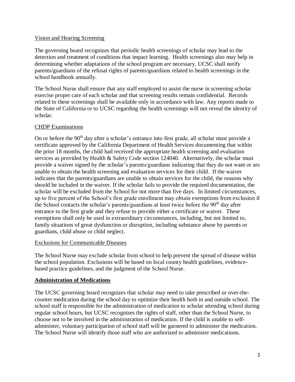#### Vision and Hearing Screening

The governing board recognizes that periodic health screenings of scholar may lead to the detection and treatment of conditions that impact learning. Health screenings also may help in determining whether adaptations of the school program are necessary. UCSC shall notify parents/guardians of the refusal rights of parents/guardians related to health screenings in the school handbook annually.

The School Nurse shall ensure that any staff employed to assist the nurse in screening scholar exercise proper care of each scholar and that screening results remain confidential. Records related to these screenings shall be available only in accordance with law. Any reports made to the State of California or to UCSC regarding the health screenings will not reveal the identity of scholar.

#### CHDP Examinations

On or before the 90<sup>th</sup> day after a scholar's entrance into first grade, all scholar must provide a certificate approved by the California Department of Health Services documenting that within the prior 18 months, the child had received the appropriate health screening and evaluation services as provided by Health & Safety Code section 124040. Alternatively, the scholar must provide a waiver signed by the scholar's parents/guardians indicating that they do not want or are unable to obtain the health screening and evaluation services for their child. If the waiver indicates that the parents/guardians are unable to obtain services for the child, the reasons why should be included in the waiver. If the scholar fails to provide the required documentation, the scholar will be excluded from the School for not more than five days. In limited circumstances, up to five percent of the School's first grade enrollment may obtain exemptions from exclusion if the School contacts the scholar's parents/guardians at least twice before the 90<sup>th</sup> day after entrance to the first grade and they refuse to provide either a certificate or waiver. These exemptions shall only be used in extraordinary circumstances, including, but not limited to, family situations of great dysfunction or disruption, including substance abuse by parents or guardians, child abuse or child neglect.

#### Exclusions for Communicable Diseases

The School Nurse may exclude scholar from school to help prevent the spread of disease within the school population. Exclusions will be based on local county health guidelines, evidencebased practice guidelines, and the judgment of the School Nurse.

#### **Administration of Medications**

The UCSC governing board recognizes that scholar may need to take prescribed or over-thecounter medication during the school day to optimize their health both in and outside school. The school staff is responsible for the administration of medication to scholar attending school during regular school hours, but UCSC recognizes the rights of staff, other than the School Nurse, to choose not to be involved in the administration of medication. If the child is unable to selfadminister, voluntary participation of school staff will be garnered to administer the medication. The School Nurse will identify those staff who are authorized to administer medications.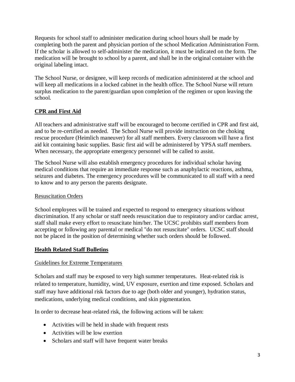Requests for school staff to administer medication during school hours shall be made by completing both the parent and physician portion of the school Medication Administration Form. If the scholar is allowed to self-administer the medication, it must be indicated on the form. The medication will be brought to school by a parent, and shall be in the original container with the original labeling intact.

The School Nurse, or designee, will keep records of medication administered at the school and will keep all medications in a locked cabinet in the health office. The School Nurse will return surplus medication to the parent/guardian upon completion of the regimen or upon leaving the school.

## **CPR and First Aid**

All teachers and administrative staff will be encouraged to become certified in CPR and first aid, and to be re-certified as needed. The School Nurse will provide instruction on the choking rescue procedure (Heimlich maneuver) for all staff members. Every classroom will have a first aid kit containing basic supplies. Basic first aid will be administered by YPSA staff members. When necessary, the appropriate emergency personnel will be called to assist.

The School Nurse will also establish emergency procedures for individual scholar having medical conditions that require an immediate response such as anaphylactic reactions, asthma, seizures and diabetes. The emergency procedures will be communicated to all staff with a need to know and to any person the parents designate.

#### Resuscitation Orders

School employees will be trained and expected to respond to emergency situations without discrimination. If any scholar or staff needs resuscitation due to respiratory and/or cardiac arrest, staff shall make every effort to resuscitate him/her. The UCSC prohibits staff members from accepting or following any parental or medical "do not resuscitate" orders. UCSC staff should not be placed in the position of determining whether such orders should be followed.

#### **Health Related Staff Bulletins**

#### Guidelines for Extreme Temperatures

Scholars and staff may be exposed to very high summer temperatures. Heat-related risk is related to temperature, humidity, wind, UV exposure, exertion and time exposed. Scholars and staff may have additional risk factors due to age (both older and younger), hydration status, medications, underlying medical conditions, and skin pigmentation.

In order to decrease heat-related risk, the following actions will be taken:

- Activities will be held in shade with frequent rests
- Activities will be low exertion
- Scholars and staff will have frequent water breaks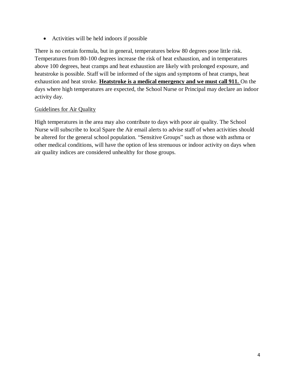Activities will be held indoors if possible

There is no certain formula, but in general, temperatures below 80 degrees pose little risk. Temperatures from 80-100 degrees increase the risk of heat exhaustion, and in temperatures above 100 degrees, heat cramps and heat exhaustion are likely with prolonged exposure, and heatstroke is possible. Staff will be informed of the signs and symptoms of heat cramps, heat exhaustion and heat stroke. **Heatstroke is a medical emergency and we must call 911.** On the days where high temperatures are expected, the School Nurse or Principal may declare an indoor activity day.

#### Guidelines for Air Quality

High temperatures in the area may also contribute to days with poor air quality. The School Nurse will subscribe to local Spare the Air email alerts to advise staff of when activities should be altered for the general school population. "Sensitive Groups" such as those with asthma or other medical conditions, will have the option of less strenuous or indoor activity on days when air quality indices are considered unhealthy for those groups.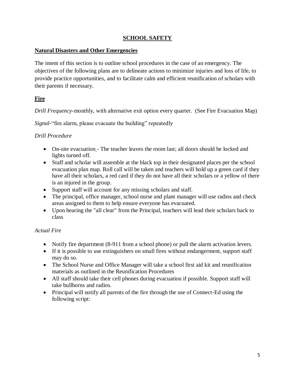#### **SCHOOL SAFETY**

#### **Natural Disasters and Other Emergencies**

The intent of this section is to outline school procedures in the case of an emergency. The objectives of the following plans are to delineate actions to minimize injuries and loss of life, to provide practice opportunities, and to facilitate calm and efficient reunification of scholars with their parents if necessary.

## **Fire**

*Drill Frequency-*monthly, with alternative exit option every quarter. (See Fire Evacuation Map)

*Signal*-"fire alarm, please evacuate the building" repeatedly

## *Drill Procedure*

- On-site evacuation The teacher leaves the room last; all doors should be locked and lights turned off.
- Staff and scholar will assemble at the black top in their designated places per the school evacuation plan map. Roll call will be taken and teachers will hold up a green card if they have all their scholars, a red card if they do not have all their scholars or a yellow of there is an injured in the group.
- Support staff will account for any missing scholars and staff.
- The principal, office manager, school nurse and plant manager will use radios and check areas assigned to them to help ensure everyone has evacuated.
- Upon hearing the "all clear" from the Principal, teachers will lead their scholars back to class

## *Actual Fire*

- Notify fire department (8-911 from a school phone) or pull the alarm activation levers.
- If it is possible to use extinguishers on small fires without endangerment, support staff may do so.
- The School Nurse and Office Manager will take a school first aid kit and reunification materials as outlined in the Reunification Procedures
- All staff should take their cell phones during evacuation if possible. Support staff will take bullhorns and radios.
- Principal will notify all parents of the fire through the use of Connect-Ed using the following script: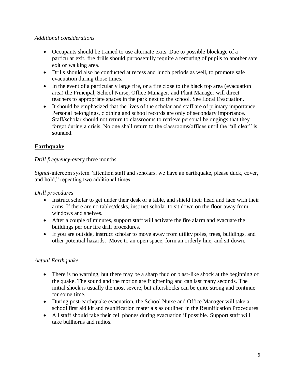#### *Additional considerations*

- Occupants should be trained to use alternate exits. Due to possible blockage of a particular exit, fire drills should purposefully require a rerouting of pupils to another safe exit or walking area.
- Drills should also be conducted at recess and lunch periods as well, to promote safe evacuation during those times.
- In the event of a particularly large fire, or a fire close to the black top area (evacuation area) the Principal, School Nurse, Office Manager, and Plant Manager will direct teachers to appropriate spaces in the park next to the school. See Local Evacuation.
- It should be emphasized that the lives of the scholar and staff are of primary importance. Personal belongings, clothing and school records are only of secondary importance. Staff/scholar should not return to classrooms to retrieve personal belongings that they forgot during a crisis. No one shall return to the classrooms/offices until the "all clear" is sounded.

#### **Earthquake**

#### *Drill frequency-*every three months

*Signal-*intercom system "attention staff and scholars, we have an earthquake, please duck, cover, and hold," repeating two additional times

*Drill procedures* 

- Instruct scholar to get under their desk or a table, and shield their head and face with their arms. If there are no tables/desks, instruct scholar to sit down on the floor away from windows and shelves.
- After a couple of minutes, support staff will activate the fire alarm and evacuate the buildings per our fire drill procedures.
- If you are outside, instruct scholar to move away from utility poles, trees, buildings, and other potential hazards. Move to an open space, form an orderly line, and sit down.

#### *Actual Earthquake*

- There is no warning, but there may be a sharp thud or blast-like shock at the beginning of the quake. The sound and the motion are frightening and can last many seconds. The initial shock is usually the most severe, but aftershocks can be quite strong and continue for some time.
- During post-earthquake evacuation, the School Nurse and Office Manager will take a school first aid kit and reunification materials as outlined in the Reunification Procedures
- All staff should take their cell phones during evacuation if possible. Support staff will take bullhorns and radios.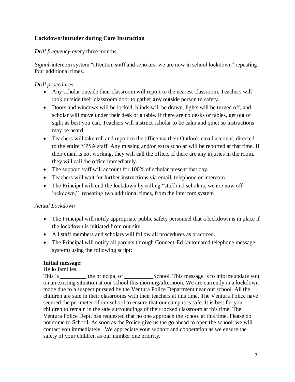## **Lockdown/Intruder during Core Instruction**

*Drill frequency-*every three months

*Signal-*intercom system "attention staff and scholars, we are now in school lockdown" repeating four additional times.

#### *Drill procedures*

- Any scholar outside their classroom will report to the nearest classroom. Teachers will look outside their classroom door to gather **any** outside person to safety.
- Doors and windows will be locked, blinds will be drawn, lights will be turned off, and scholar will move under their desk or a table. If there are no desks or tables, get out of sight as best you can. Teachers will instruct scholar to be calm and quiet so instructions may be heard.
- Teachers will take roll and report to the office via their Outlook email account, directed to the entire YPSA staff. Any missing and/or extra scholar will be reported at that time. If their email is not working, they will call the office. If there are any injuries in the room, they will call the office immediately.
- The support staff will account for 100% of scholar present that day.
- Teachers will wait for further instructions via email, telephone or intercom.
- The Principal will end the lockdown by calling "staff and scholars, we are now off lockdown," repeating two additional times, from the intercom system

## *Actual Lockdown*

- The Principal will notify appropriate public safety personnel that a lockdown is in place if the lockdown is initiated from our site.
- All staff members and scholars will follow all procedures as practiced.
- The Principal will notify all parents through Connect-Ed (automated telephone message system) using the following script:

#### **Initial message:**

Hello families.

This is the principal of School. This message is to inform/update you on an existing situation at our school this morning/afternoon. We are currently in a lockdown mode due to a suspect pursued by the Ventura Police Department near our school. All the children are safe in their classrooms with their teachers at this time. The Ventura Police have secured the perimeter of our school to ensure that our campus is safe. It is best for your children to remain in the safe surroundings of their locked classroom at this time. The Ventura Police Dept. has requested that no one approach the school at this time. Please do not come to School. As soon as the Police give us the go ahead to open the school, we will contact you immediately. We appreciate your support and cooperation as we ensure the safety of your children as our number one priority.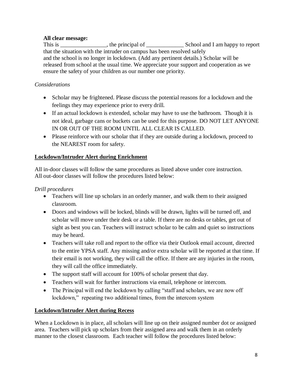## **All clear message:**

This is \_\_\_\_\_\_\_\_\_\_\_\_\_\_\_\_, the principal of \_\_\_\_\_\_\_\_\_\_\_\_\_ School and I am happy to report that the situation with the intruder on campus has been resolved safely and the school is no longer in lockdown. (Add any pertinent details.) Scholar will be released from school at the usual time. We appreciate your support and cooperation as we ensure the safety of your children as our number one priority.

## *Considerations*

- Scholar may be frightened. Please discuss the potential reasons for a lockdown and the feelings they may experience prior to every drill.
- If an actual lockdown is extended, scholar may have to use the bathroom. Though it is not ideal, garbage cans or buckets can be used for this purpose. DO NOT LET ANYONE IN OR OUT OF THE ROOM UNTIL ALL CLEAR IS CALLED.
- Please reinforce with our scholar that if they are outside during a lockdown, proceed to the NEAREST room for safety.

## **Lockdown/Intruder Alert during Enrichment**

All in-door classes will follow the same procedures as listed above under core instruction. All out-door classes will follow the procedures listed below:

## *Drill procedures*

- Teachers will line up scholars in an orderly manner, and walk them to their assigned classroom.
- Doors and windows will be locked, blinds will be drawn, lights will be turned off, and scholar will move under their desk or a table. If there are no desks or tables, get out of sight as best you can. Teachers will instruct scholar to be calm and quiet so instructions may be heard.
- Teachers will take roll and report to the office via their Outlook email account, directed to the entire YPSA staff. Any missing and/or extra scholar will be reported at that time. If their email is not working, they will call the office. If there are any injuries in the room, they will call the office immediately.
- The support staff will account for 100% of scholar present that day.
- Teachers will wait for further instructions via email, telephone or intercom.
- The Principal will end the lockdown by calling "staff and scholars, we are now off lockdown," repeating two additional times, from the intercom system

## **Lockdown/Intruder Alert during Recess**

When a Lockdown is in place, all scholars will line up on their assigned number dot or assigned area. Teachers will pick up scholars from their assigned area and walk them in an orderly manner to the closest classroom. Each teacher will follow the procedures listed below: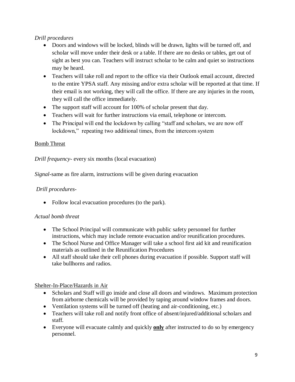## *Drill procedures*

- Doors and windows will be locked, blinds will be drawn, lights will be turned off, and scholar will move under their desk or a table. If there are no desks or tables, get out of sight as best you can. Teachers will instruct scholar to be calm and quiet so instructions may be heard.
- Teachers will take roll and report to the office via their Outlook email account, directed to the entire YPSA staff. Any missing and/or extra scholar will be reported at that time. If their email is not working, they will call the office. If there are any injuries in the room, they will call the office immediately.
- The support staff will account for 100% of scholar present that day.
- Teachers will wait for further instructions via email, telephone or intercom.
- The Principal will end the lockdown by calling "staff and scholars, we are now off lockdown," repeating two additional times, from the intercom system

#### Bomb Threat

*Drill frequency-* every six months (local evacuation)

*Signal-*same as fire alarm, instructions will be given during evacuation

#### *Drill procedures-*

• Follow local evacuation procedures (to the park).

#### *Actual bomb threat*

- The School Principal will communicate with public safety personnel for further instructions, which may include remote evacuation and/or reunification procedures.
- The School Nurse and Office Manager will take a school first aid kit and reunification materials as outlined in the Reunification Procedures
- All staff should take their cell phones during evacuation if possible. Support staff will take bullhorns and radios.

#### Shelter-In-Place/Hazards in Air

- Scholars and Staff will go inside and close all doors and windows. Maximum protection from airborne chemicals will be provided by taping around window frames and doors.
- Ventilation systems will be turned off (heating and air-conditioning, etc.)
- Teachers will take roll and notify front office of absent/injured/additional scholars and staff.
- Everyone will evacuate calmly and quickly **only** after instructed to do so by emergency personnel.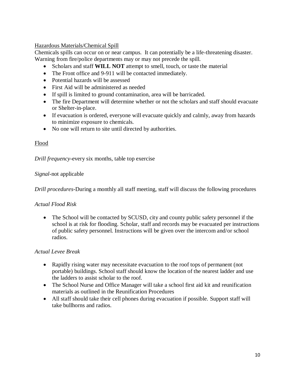#### Hazardous Materials/Chemical Spill

Chemicals spills can occur on or near campus. It can potentially be a life-threatening disaster. Warning from fire/police departments may or may not precede the spill.

- Scholars and staff **WILL NOT** attempt to smell, touch, or taste the material
- The Front office and 9-911 will be contacted immediately.
- Potential hazards will be assessed
- First Aid will be administered as needed
- If spill is limited to ground contamination, area will be barricaded.
- The fire Department will determine whether or not the scholars and staff should evacuate or Shelter-in-place.
- If evacuation is ordered, everyone will evacuate quickly and calmly, away from hazards to minimize exposure to chemicals.
- No one will return to site until directed by authorities.

#### Flood

*Drill frequency-*every six months, table top exercise

#### *Signal*-not applicable

*Drill procedures-*During a monthly all staff meeting, staff will discuss the following procedures

#### *Actual Flood Risk*

• The School will be contacted by SCUSD, city and county public safety personnel if the school is at risk for flooding. Scholar, staff and records may be evacuated per instructions of public safety personnel. Instructions will be given over the intercom and/or school radios.

#### *Actual Levee Break*

- Rapidly rising water may necessitate evacuation to the roof tops of permanent (not portable) buildings. School staff should know the location of the nearest ladder and use the ladders to assist scholar to the roof.
- The School Nurse and Office Manager will take a school first aid kit and reunification materials as outlined in the Reunification Procedures
- All staff should take their cell phones during evacuation if possible. Support staff will take bullhorns and radios.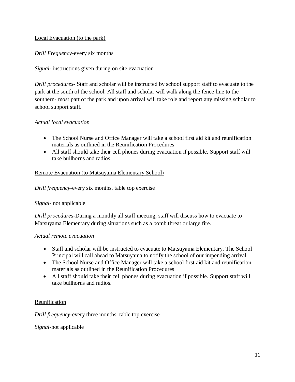#### Local Evacuation (to the park)

*Drill Frequency-*every six months

*Signal-* instructions given during on site evacuation

*Drill procedures*- Staff and scholar will be instructed by school support staff to evacuate to the park at the south of the school. All staff and scholar will walk along the fence line to the southern- most part of the park and upon arrival will take role and report any missing scholar to school support staff.

#### *Actual local evacuation*

- The School Nurse and Office Manager will take a school first aid kit and reunification materials as outlined in the Reunification Procedures
- All staff should take their cell phones during evacuation if possible. Support staff will take bullhorns and radios.

#### Remote Evacuation (to Matsuyama Elementary School)

*Drill frequency-*every six months, table top exercise

#### *Signal-* not applicable

*Drill procedures*-During a monthly all staff meeting, staff will discuss how to evacuate to Matsuyama Elementary during situations such as a bomb threat or large fire.

#### *Actual remote evacuation*

- Staff and scholar will be instructed to evacuate to Matsuyama Elementary. The School Principal will call ahead to Matsuyama to notify the school of our impending arrival.
- The School Nurse and Office Manager will take a school first aid kit and reunification materials as outlined in the Reunification Procedures
- All staff should take their cell phones during evacuation if possible. Support staff will take bullhorns and radios.

#### Reunification

*Drill frequency-*every three months, table top exercise

#### *Signal-*not applicable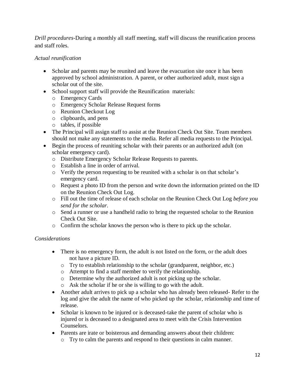*Drill procedures-*During a monthly all staff meeting, staff will discuss the reunification process and staff roles.

## *Actual reunification*

- Scholar and parents may be reunited and leave the evacuation site once it has been approved by school administration. A parent, or other authorized adult, must sign a scholar out of the site.
- School support staff will provide the Reunification materials:
	- o Emergency Cards
	- o Emergency Scholar Release Request forms
	- o Reunion Checkout Log
	- o clipboards, and pens
	- o tables, if possible
- The Principal will assign staff to assist at the Reunion Check Out Site. Team members should not make any statements to the media. Refer all media requests to the Principal.
- Begin the process of reuniting scholar with their parents or an authorized adult (on scholar emergency card).
	- o Distribute Emergency Scholar Release Requests to parents.
	- o Establish a line in order of arrival.
	- o Verify the person requesting to be reunited with a scholar is on that scholar's emergency card.
	- o Request a photo ID from the person and write down the information printed on the ID on the Reunion Check Out Log.
	- o Fill out the time of release of each scholar on the Reunion Check Out Log *before you send for the scholar*.
	- o Send a runner or use a handheld radio to bring the requested scholar to the Reunion Check Out Site.
	- o Confirm the scholar knows the person who is there to pick up the scholar.

## *Considerations*

- There is no emergency form, the adult is not listed on the form, or the adult does not have a picture ID.
	- o Try to establish relationship to the scholar (grandparent, neighbor, etc.)
	- o Attempt to find a staff member to verify the relationship.
	- o Determine why the authorized adult is not picking up the scholar.
	- o Ask the scholar if he or she is willing to go with the adult.
- Another adult arrives to pick up a scholar who has already been released- Refer to the log and give the adult the name of who picked up the scholar, relationship and time of release.
- Scholar is known to be injured or is deceased-take the parent of scholar who is injured or is deceased to a designated area to meet with the Crisis Intervention Counselors.
- Parents are irate or boisterous and demanding answers about their children:
	- o Try to calm the parents and respond to their questions in calm manner.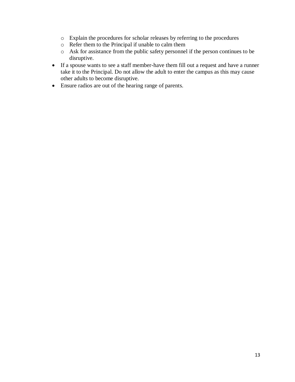- o Explain the procedures for scholar releases by referring to the procedures
- o Refer them to the Principal if unable to calm them
- o Ask for assistance from the public safety personnel if the person continues to be disruptive.
- If a spouse wants to see a staff member-have them fill out a request and have a runner take it to the Principal. Do not allow the adult to enter the campus as this may cause other adults to become disruptive.
- Ensure radios are out of the hearing range of parents.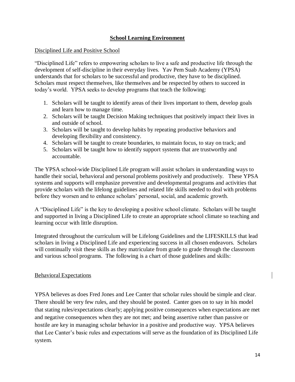#### **School Learning Environment**

#### Disciplined Life and Positive School

"Disciplined Life" refers to empowering scholars to live a safe and productive life through the development of self-discipline in their everyday lives. Yav Pem Suab Academy (YPSA) understands that for scholars to be successful and productive, they have to be disciplined. Scholars must respect themselves, like themselves and be respected by others to succeed in today's world. YPSA seeks to develop programs that teach the following:

- 1. Scholars will be taught to identify areas of their lives important to them, develop goals and learn how to manage time.
- 2. Scholars will be taught Decision Making techniques that positively impact their lives in and outside of school.
- 3. Scholars will be taught to develop habits by repeating productive behaviors and developing flexibility and consistency.
- 4. Scholars will be taught to create boundaries, to maintain focus, to stay on track; and
- 5. Scholars will be taught how to identify support systems that are trustworthy and accountable.

The YPSA school-wide Disciplined Life program will assist scholars in understanding ways to handle their social, behavioral and personal problems positively and productively. These YPSA systems and supports will emphasize preventive and developmental programs and activities that provide scholars with the lifelong guidelines and related life skills needed to deal with problems before they worsen and to enhance scholars' personal, social, and academic growth.

A "Disciplined Life" is the key to developing a positive school climate. Scholars will be taught and supported in living a Disciplined Life to create an appropriate school climate so teaching and learning occur with little disruption.

Integrated throughout the curriculum will be Lifelong Guidelines and the LIFESKILLS that lead scholars in living a Disciplined Life and experiencing success in all chosen endeavors. Scholars will continually visit these skills as they matriculate from grade to grade through the classroom and various school programs. The following is a chart of those guidelines and skills:

#### Behavioral Expectations

YPSA believes as does Fred Jones and Lee Canter that scholar rules should be simple and clear. There should be very few rules, and they should be posted. Canter goes on to say in his model that stating rules/expectations clearly; applying positive consequences when expectations are met and negative consequences when they are not met; and being assertive rather than passive or hostile are key in managing scholar behavior in a positive and productive way. YPSA believes that Lee Canter's basic rules and expectations will serve as the foundation of its Disciplined Life system.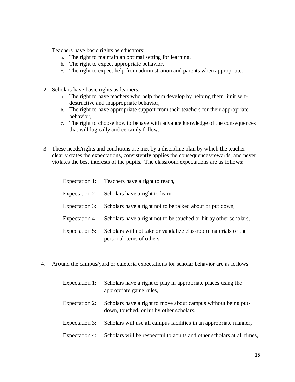- 1. Teachers have basic rights as educators:
	- a. The right to maintain an optimal setting for learning,
	- b. The right to expect appropriate behavior,
	- c. The right to expect help from administration and parents when appropriate.
- 2. Scholars have basic rights as learners:
	- a. The right to have teachers who help them develop by helping them limit selfdestructive and inappropriate behavior,
	- b. The right to have appropriate support from their teachers for their appropriate behavior,
	- c. The right to choose how to behave with advance knowledge of the consequences that will logically and certainly follow.
- 3. These needs/rights and conditions are met by a discipline plan by which the teacher clearly states the expectations, consistently applies the consequences/rewards, and never violates the best interests of the pupils. The classroom expectations are as follows:

|                      | Expectation 1: Teachers have a right to teach,                                              |
|----------------------|---------------------------------------------------------------------------------------------|
| Expectation 2        | Scholars have a right to learn,                                                             |
| Expectation 3:       | Scholars have a right not to be talked about or put down,                                   |
| <b>Expectation 4</b> | Scholars have a right not to be touched or hit by other scholars,                           |
| Expectation 5:       | Scholars will not take or vandalize classroom materials or the<br>personal items of others. |

- 4. Around the campus/yard or cafeteria expectations for scholar behavior are as follows:
	- Expectation 1: Scholars have a right to play in appropriate places using the appropriate game rules, Expectation 2: Scholars have a right to move about campus without being putdown, touched, or hit by other scholars,
	- Expectation 3: Scholars will use all campus facilities in an appropriate manner,
	- Expectation 4: Scholars will be respectful to adults and other scholars at all times,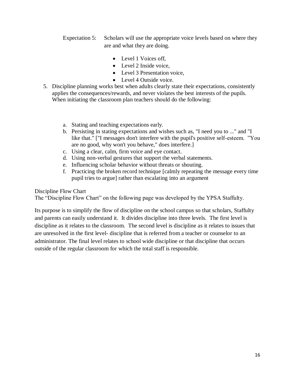Expectation 5: Scholars will use the appropriate voice levels based on where they are and what they are doing.

- Level 1 Voices off,
- Level 2 Inside voice.
- Level 3 Presentation voice.
- Level 4 Outside voice.
- 5. Discipline planning works best when adults clearly state their expectations, consistently applies the consequences/rewards, and never violates the best interests of the pupils. When initiating the classroom plan teachers should do the following:
	- a. Stating and teaching expectations early.
	- b. Persisting in stating expectations and wishes such as, "I need you to ..." and "I like that." ["I messages don't interfere with the pupil's positive self-esteem. "You are no good, why won't you behave," does interfere.]
	- c. Using a clear, calm, firm voice and eye contact.
	- d. Using non-verbal gestures that support the verbal statements.
	- e. Influencing scholar behavior without threats or shouting.
	- f. Practicing the broken record technique [calmly repeating the message every time pupil tries to argue] rather than escalating into an argument

Discipline Flow Chart

The "Discipline Flow Chart" on the following page was developed by the YPSA Staffulty.

Its purpose is to simplify the flow of discipline on the school campus so that scholars, Staffulty and parents can easily understand it. It divides discipline into three levels. The first level is discipline as it relates to the classroom. The second level is discipline as it relates to issues that are unresolved in the first level- discipline that is referred from a teacher or counselor to an administrator. The final level relates to school wide discipline or that discipline that occurs outside of the regular classroom for which the total staff is responsible.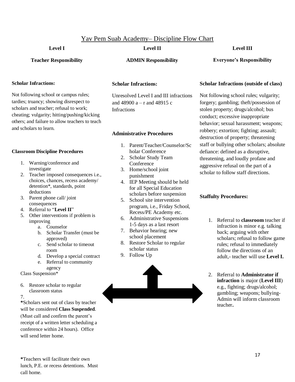#### Yav Pem Suab Academy– Discipline Flow Chart

#### **Level I**

#### **Level II**

#### **Level III**

**Teacher Responsibility**

#### **Scholar Infractions:**

Not following school or campus rules; tardies; truancy; showing disrespect to scholars and teacher; refusal to work; cheating; vulgarity; hitting/pushing/kicking others; and failure to allow teachers to teach and scholars to learn.

#### **Classroom Discipline Procedures**

- 1. Warning/conference and investigate
- 2. Teacher imposed consequences i.e., choices, chances, recess academy/ detention\*, standards, point deductions
- 3. Parent phone call/ joint consequences
- 4. Referral to "**Level II**"
- 5. Other interventions if problem is improving
	- a. Counselor
	- b. Scholar Transfer (must be approved)
	- c. Send scholar to timeout room
	- d. Develop a special contract
	- e. Referral to community agency

Class Suspension\*

6. Restore scholar to regular classroom status

7.

**\***Scholars sent out of class by teacher will be considered **Class Suspended**. (Must call and confirm the parent's receipt of a written letter scheduling a conference within 24 hours). Office will send letter home.

**ADMIN Responsibility**

#### **Everyone's Responsibility**

#### **Scholar Infractions:**

Unresolved Level I and III infractions and 48900 a – r and 48915 c **Infractions** 

#### **Administrative Procedures**

- 1. Parent/Teacher/Counselor/Sc holar Conference
- 2. Scholar Study Team Conference
- 3. Home/school joint punishment
- 4. IEP Meeting should be held for all Special Education scholars before suspension
- 5. School site intervention program, i.e., Friday School, Recess/PE Academy etc.
- 6. Administrative Suspensions 1-5 days as a last resort
- 7. Behavior hearing; new school placement
- 8. Restore Scholar to regular scholar status
- 9. Follow Up



#### **Scholar Infractions (outside of class)**

Not following school rules; vulgarity; forgery; gambling; theft/possession of stolen property; drugs/alcohol; bus conduct; excessive inappropriate behavior; sexual harassment; weapons; robbery; extortion; fighting; assault; destruction of property; threatening staff or bullying other scholars; absolute defiance: defined as a disruptive, threatening, and loudly profane and aggressive refusal on the part of a scholar to follow staff directions.

#### **Staffulty Procedures:**

- 1. Referral to **classroom** teacher if infraction is minor e.g. talking back; arguing with other scholars; refusal to follow game rules; refusal to immediately follow the directions of an adult,- teacher will use **Level I.**
- 2. Referral to **Administrator if infraction** is major (**Level III**) e.g., fighting; drugs/alcohol; gambling; weapons; bullying-Admin will inform classroom teacher**.**

**\***Teachers will facilitate their own lunch, P.E. or recess detentions. Must call home.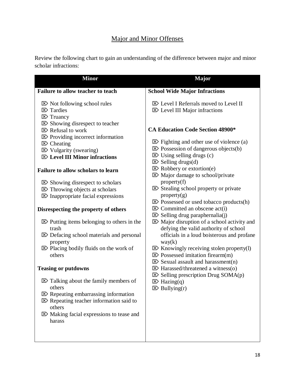## Major and Minor Offenses

Review the following chart to gain an understanding of the difference between major and minor scholar infractions: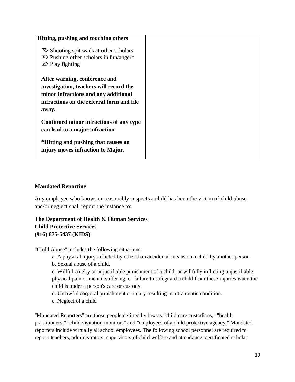| Hitting, pushing and touching others                                                                                                                                   |  |
|------------------------------------------------------------------------------------------------------------------------------------------------------------------------|--|
| $\boxtimes$ Shooting spit wads at other scholars<br>$\boxtimes$ Pushing other scholars in fun/anger*<br>$\boxtimes$ Play fighting                                      |  |
| After warning, conference and<br>investigation, teachers will record the<br>minor infractions and any additional<br>infractions on the referral form and file<br>away. |  |
| Continued minor infractions of any type<br>can lead to a major infraction.                                                                                             |  |
| *Hitting and pushing that causes an<br>injury moves infraction to Major.                                                                                               |  |

#### **Mandated Reporting**

Any employee who knows or reasonably suspects a child has been the victim of child abuse and/or neglect shall report the instance to:

## **The Department of Health & Human Services Child Protective Services (916) 875-5437 (KIDS)**

"Child Abuse" includes the following situations:

- a. A physical injury inflicted by other than accidental means on a child by another person.
- b. Sexual abuse of a child.
- c. Willful cruelty or unjustifiable punishment of a child, or willfully inflicting unjustifiable physical pain or mental suffering, or failure to safeguard a child from these injuries when the child is under a person's care or custody.
- d. Unlawful corporal punishment or injury resulting in a traumatic condition.
- e. Neglect of a child

"Mandated Reporters" are those people defined by law as "child care custodians," "health practitioners," "child visitation monitors" and "employees of a child protective agency." Mandated reporters include virtually all school employees. The following school personnel are required to report: teachers, administrators, supervisors of child welfare and attendance, certificated scholar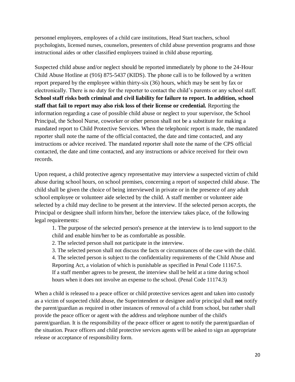personnel employees, employees of a child care institutions, Head Start teachers, school psychologists, licensed nurses, counselors, presenters of child abuse prevention programs and those instructional aides or other classified employees trained in child abuse reporting.

Suspected child abuse and/or neglect should be reported immediately by phone to the 24-Hour Child Abuse Hotline at (916) 875-5437 (KIDS). The phone call is to be followed by a written report prepared by the employee within thirty-six (36) hours, which may be sent by fax or electronically. There is no duty for the reporter to contact the child's parents or any school staff. **School staff risks both criminal and civil liability for failure to report. In addition, school staff that fail to report may also risk loss of their license or credential.** Reporting the information regarding a case of possible child abuse or neglect to your supervisor, the School Principal, the School Nurse, coworker or other person shall not be a substitute for making a mandated report to Child Protective Services. When the telephonic report is made, the mandated reporter shall note the name of the official contacted, the date and time contacted, and any instructions or advice received. The mandated reporter shall note the name of the CPS official contacted, the date and time contacted, and any instructions or advice received for their own records.

Upon request, a child protective agency representative may interview a suspected victim of child abuse during school hours, on school premises, concerning a report of suspected child abuse. The child shall be given the choice of being interviewed in private or in the presence of any adult school employee or volunteer aide selected by the child. A staff member or volunteer aide selected by a child may decline to be present at the interview. If the selected person accepts, the Principal or designee shall inform him/her, before the interview takes place, of the following legal requirements:

1. The purpose of the selected person's presence at the interview is to lend support to the child and enable him/her to be as comfortable as possible.

2. The selected person shall not participate in the interview.

3. The selected person shall not discuss the facts or circumstances of the case with the child. 4. The selected person is subject to the confidentiality requirements of the Child Abuse and Reporting Act, a violation of which is punishable as specified in Penal Code 11167.5. If a staff member agrees to be present, the interview shall be held at a time during school hours when it does not involve an expense to the school. (Penal Code 11174.3)

When a child is released to a peace officer or child protective services agent and taken into custody as a victim of suspected child abuse, the Superintendent or designee and/or principal shall **not** notify the parent/guardian as required in other instances of removal of a child from school, but rather shall provide the peace officer or agent with the address and telephone number of the child's parent/guardian. It is the responsibility of the peace officer or agent to notify the parent/guardian of the situation. Peace officers and child protective services agents will be asked to sign an appropriate release or acceptance of responsibility form.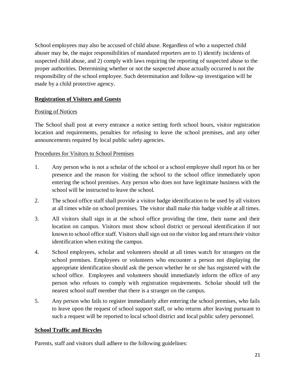School employees may also be accused of child abuse. Regardless of who a suspected child abuser may be, the major responsibilities of mandated reporters are to 1) identify incidents of suspected child abuse, and 2) comply with laws requiring the reporting of suspected abuse to the proper authorities. Determining whether or not the suspected abuse actually occurred is not the responsibility of the school employee. Such determination and follow-up investigation will be made by a child protective agency.

#### **Registration of Visitors and Guests**

#### Posting of Notices

The School shall post at every entrance a notice setting forth school hours, visitor registration location and requirements, penalties for refusing to leave the school premises, and any other announcements required by local public safety agencies.

#### Procedures for Visitors to School Premises

- 1. Any person who is not a scholar of the school or a school employee shall report his or her presence and the reason for visiting the school to the school office immediately upon entering the school premises. Any person who does not have legitimate business with the school will be instructed to leave the school.
- 2. The school office staff shall provide a visitor badge identification to be used by all visitors at all times while on school premises. The visitor shall make this badge visible at all times.
- 3. All visitors shall sign in at the school office providing the time, their name and their location on campus. Visitors must show school district or personal identification if not known to school office staff. Visitors shall sign out on the visitor log and return their visitor identification when exiting the campus.
- 4. School employees, scholar and volunteers should at all times watch for strangers on the school premises. Employees or volunteers who encounter a person not displaying the appropriate identification should ask the person whether he or she has registered with the school office. Employees and volunteers should immediately inform the office of any person who refuses to comply with registration requirements. Scholar should tell the nearest school staff member that there is a stranger on the campus.
- 5. Any person who fails to register immediately after entering the school premises, who fails to leave upon the request of school support staff, or who returns after leaving pursuant to such a request will be reported to local school district and local public safety personnel.

#### **School Traffic and Bicycles**

Parents, staff and visitors shall adhere to the following guidelines: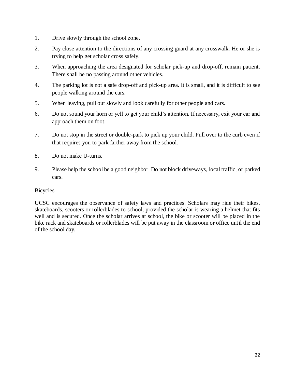- 1. Drive slowly through the school zone.
- 2. Pay close attention to the directions of any crossing guard at any crosswalk. He or she is trying to help get scholar cross safely.
- 3. When approaching the area designated for scholar pick-up and drop-off, remain patient. There shall be no passing around other vehicles.
- 4. The parking lot is not a safe drop-off and pick-up area. It is small, and it is difficult to see people walking around the cars.
- 5. When leaving, pull out slowly and look carefully for other people and cars.
- 6. Do not sound your horn or yell to get your child's attention. If necessary, exit your car and approach them on foot.
- 7. Do not stop in the street or double-park to pick up your child. Pull over to the curb even if that requires you to park farther away from the school.
- 8. Do not make U-turns.
- 9. Please help the school be a good neighbor. Do not block driveways, local traffic, or parked cars.

#### **Bicycles**

UCSC encourages the observance of safety laws and practices. Scholars may ride their bikes, skateboards, scooters or rollerblades to school, provided the scholar is wearing a helmet that fits well and is secured. Once the scholar arrives at school, the bike or scooter will be placed in the bike rack and skateboards or rollerblades will be put away in the classroom or office until the end of the school day.